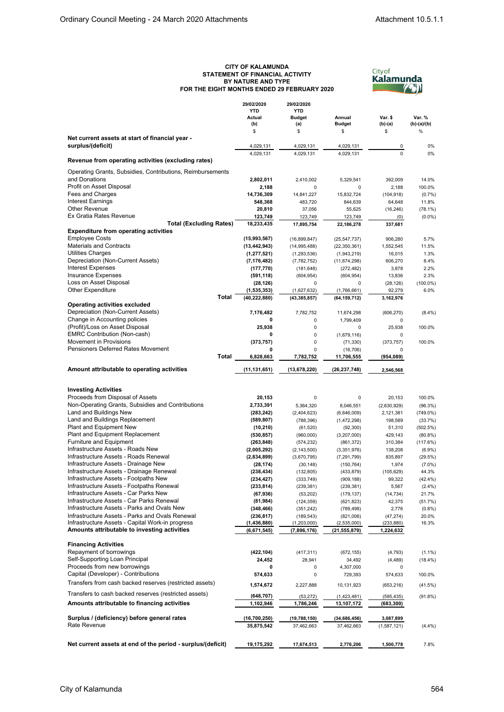## **CITY OF KALAMUNDA STATEMENT OF FINANCIAL ACTIVITY BY NATURE AND TYPE FOR THE EIGHT MONTHS ENDED 29 FEBRUARY 2020**



|                                                             | 29/02/2020<br><b>YTD</b> | 29/02/2020<br><b>YTD</b> |                     |                |                       |
|-------------------------------------------------------------|--------------------------|--------------------------|---------------------|----------------|-----------------------|
|                                                             |                          |                          |                     |                |                       |
|                                                             | Actual                   | <b>Budget</b>            | Annual              | Var. \$        | Var. %                |
|                                                             | (b)<br>\$                | (a)<br>\$                | <b>Budget</b><br>\$ | (b)-(a)<br>\$  | $(b)-(a)/(b)$<br>$\%$ |
| Net current assets at start of financial year -             |                          |                          |                     |                |                       |
| surplus/(deficit)                                           | 4,029,131                | 4,029,131                | 4,029,131           | 0              | 0%                    |
|                                                             | 4,029,131                | 4,029,131                | 4,029,131           | $\overline{0}$ | 0%                    |
| Revenue from operating activities (excluding rates)         |                          |                          |                     |                |                       |
| Operating Grants, Subsidies, Contributions, Reimbursements  |                          |                          |                     |                |                       |
| and Donations                                               | 2,802,011                | 2,410,002                | 5,329,541           | 392,009        | 14.0%                 |
| Profit on Asset Disposal                                    | 2,188                    | 0                        | 0                   | 2,188          | 100.0%                |
| Fees and Charges                                            | 14,736,309               | 14,841,227               | 15,832,724          | (104, 918)     | (0.7%                 |
| Interest Earnings                                           | 548,368                  | 483,720                  | 844,639             | 64,648         | 11.8%                 |
| <b>Other Revenue</b>                                        | 20,810                   | 37,056                   | 55,625              | (16, 246)      | $(78.1\%)$            |
| Ex Gratia Rates Revenue                                     | 123,749                  | 123,749                  | 123,749             | (0)            | $(0.0\%)$             |
| <b>Total (Excluding Rates)</b>                              | 18,233,435               | 17,895,754               | 22,186,278          | 337,681        |                       |
| <b>Expenditure from operating activities</b>                |                          |                          |                     |                |                       |
| <b>Employee Costs</b>                                       | (15,993,567)             | (16,899,847)             | (25, 547, 737)      | 906,280        | 5.7%                  |
| <b>Materials and Contracts</b>                              | (13, 442, 943)           | (14, 995, 488)           | (22, 350, 361)      | 1,552,545      | 11.5%                 |
| Utilities Charges                                           | (1, 277, 521)            | (1,293,536)              | (1,943,219)         | 16,015         | 1.3%                  |
| Depreciation (Non-Current Assets)                           | (7, 176, 482)            | (7,782,752)              | (11, 674, 298)      | 606,270        | 8.4%                  |
| <b>Interest Expenses</b>                                    | (177, 770)               | (181, 648)               | (272, 482)          | 3,878          | 2.2%                  |
| <b>Insurance Expenses</b>                                   | (591, 118)               | (604, 954)               | (604, 954)          | 13,836         | 2.3%                  |
| Loss on Asset Disposal                                      | (28, 126)                | 0                        | 0                   | (28, 126)      | $(100.0\%)$           |
| <b>Other Expenditure</b>                                    | (1,535,353)              | (1,627,632)              | (1,766,661)         | 92,279         | 6.0%                  |
| Total                                                       | (40, 222, 880)           | (43, 385, 857)           | (64, 159, 712)      | 3,162,976      |                       |
| <b>Operating activities excluded</b>                        |                          |                          |                     |                |                       |
| Depreciation (Non-Current Assets)                           | 7,176,482                | 7,782,752                | 11,674,298          | (606, 270)     | $(8.4\%)$             |
| Change in Accounting policies                               | 0                        | 0                        | 1,799,409           | 0              |                       |
| (Profit)/Loss on Asset Disposal                             | 25,938                   | 0                        | 0                   | 25,938         | 100.0%                |
| <b>EMRC Contribution (Non-cash)</b>                         | 0                        | 0                        | (1,679,116)         | 0              |                       |
| Movement in Provisions                                      | (373, 757)               | 0                        | (71, 330)           | (373, 757)     | 100.0%                |
| <b>Pensioners Deferred Rates Movement</b>                   | 0                        | 0                        | (16, 706)           | 0              |                       |
| Total                                                       | 6,828,663                | 7,782,752                | 11,706,555          | (954, 089)     |                       |
| Amount attributable to operating activities                 |                          |                          |                     |                |                       |
|                                                             | (11,131,651)             | (13,678,220)             | (26, 237, 748)      | 2,546,568      |                       |
|                                                             |                          |                          |                     |                |                       |
| <b>Investing Activities</b>                                 |                          |                          |                     |                |                       |
| Proceeds from Disposal of Assets                            | 20,153                   | 0                        | 0                   | 20,153         | 100.0%                |
| Non-Operating Grants, Subsidies and Contributions           | 2,733,391                | 5,364,320                | 8,046,551           | (2,630,929)    | (96.3%)               |
| Land and Buildings New                                      | (283, 242)               | (2,404,623)              | (6,646,009)         | 2,121,381      | $(749.0\%)$           |
| Land and Buildings Replacement                              | (589, 807)               | (788, 396)               | (1,472,298)         | 198,589        | (33.7%)               |
| Plant and Equipment New                                     | (10, 210)                | (61, 520)                | (92, 300)           | 51,310         | (502.5%)              |
| Plant and Equipment Replacement                             | (530, 857)               | (960,000)                | (3,207,000)         | 429,143        | $(80.8\%)$            |
| <b>Furniture and Equipment</b>                              | (263, 848)               | (574, 232)               | (861,372)           | 310,384        | (117.6%)              |
| Infrastructure Assets - Roads New                           | (2,005,292)              | (2, 143, 500)            | (3,351,976)         | 138,208        | (6.9%)                |
| Infrastructure Assets - Roads Renewal                       | (2,834,899)              | (3,670,795)              | (7, 291, 799)       | 835,897        | (29.5%)               |
| Infrastructure Assets - Drainage New                        | (28, 174)                | (30, 148)                | (150, 764)          | 1,974          | $(7.0\%)$             |
| Infrastructure Assets - Drainage Renewal                    | (238, 434)               | (132, 805)               | (433, 879)          | (105, 629)     | 44.3%                 |
| Infrastructure Assets - Footpaths New                       | (234, 427)               | (333, 749)               | (909, 188)          | 99,322         | $(42.4\%)$            |
| Infrastructure Assets - Footpaths Renewal                   | (233, 814)               | (239, 381)               | (239, 381)          | 5,567          | $(2.4\%)$             |
| Infrastructure Assets - Car Parks New                       | (67, 936)                | (53, 202)                | (179, 137)          | (14, 734)      | 21.7%                 |
| Infrastructure Assets - Car Parks Renewal                   | (81, 984)                | (124, 359)               | (621, 823)          | 42,375         | (51.7%)               |
| Infrastructure Assets - Parks and Ovals New                 | (348, 466)               | (351, 242)               | (789, 498)          | 2,776          | (0.8%)                |
| Infrastructure Assets - Parks and Ovals Renewal             | (236, 817)               | (189, 543)               | (821,006)           | (47, 274)      | 20.0%                 |
| Infrastructure Assets - Capital Work-in progress            | (1,436,880)              | (1,203,000)              | (2,535,000)         | (233, 880)     | 16.3%                 |
| Amounts attributable to investing activities                | (6,671,545)              | (7,896,176)              | (21,555,879)        | 1,224,632      |                       |
|                                                             |                          |                          |                     |                |                       |
| <b>Financing Activities</b>                                 |                          |                          |                     |                |                       |
| Repayment of borrowings                                     | (422, 104)               | (417, 311)               | (672, 155)          | (4, 793)       | $(1.1\%)$             |
| Self-Supporting Loan Principal                              | 24,452                   | 28,941                   | 34,492              | (4, 489)       | $(18.4\%)$            |
| Proceeds from new borrowings                                | 0                        | 0                        | 4,307,000           | 0              |                       |
| Capital (Developer) - Contributions                         | 574,633                  | 0                        | 729,393             | 574,633        | 100.0%                |
| Transfers from cash backed reserves (restricted assets)     | 1,574,672                | 2,227,888                | 10,131,923          | (653, 216)     | (41.5%)               |
| Transfers to cash backed reserves (restricted assets)       |                          |                          |                     |                |                       |
|                                                             | (648, 707)               | (53, 272)                | (1,423,481)         | (595, 435)     | (91.8%)               |
| Amounts attributable to financing activities                | 1,102,946                | 1,786,246                | 13,107,172          | (683,300)      |                       |
|                                                             |                          |                          |                     |                |                       |
| Surplus / (deficiency) before general rates<br>Rate Revenue | (16,700,250)             | (19,788,150)             | (34, 686, 456)      | 3,087,899      |                       |
|                                                             | 35,875,542               | 37,462,663               | 37,462,663          | (1,587,121)    | (4.4%)                |
|                                                             |                          |                          |                     |                |                       |
| Net current assets at end of the period - surplus/(deficit) | 19,175,292               | 17,674,513               | 2,776,206           | 1,500,778      | 7.8%                  |